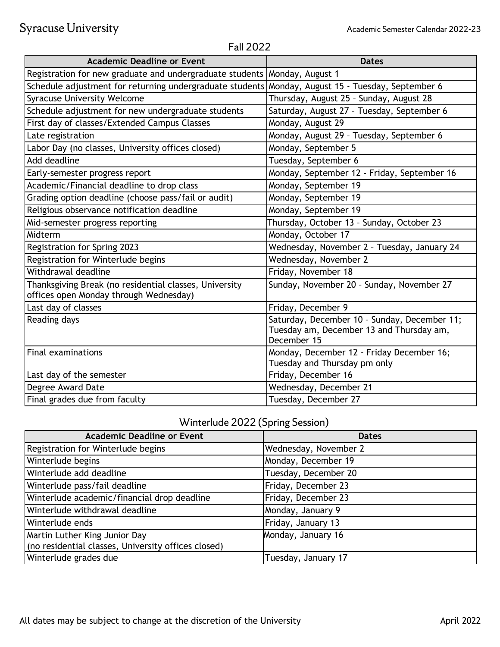| <b>Academic Deadline or Event</b>                                                                 | <b>Dates</b>                                                                                            |  |
|---------------------------------------------------------------------------------------------------|---------------------------------------------------------------------------------------------------------|--|
| Registration for new graduate and undergraduate students Monday, August 1                         |                                                                                                         |  |
| Schedule adjustment for returning undergraduate students Monday, August 15 - Tuesday, September 6 |                                                                                                         |  |
| <b>Syracuse University Welcome</b>                                                                | Thursday, August 25 - Sunday, August 28                                                                 |  |
| Schedule adjustment for new undergraduate students                                                | Saturday, August 27 - Tuesday, September 6                                                              |  |
| First day of classes/Extended Campus Classes                                                      | Monday, August 29                                                                                       |  |
| Late registration                                                                                 | Monday, August 29 - Tuesday, September 6                                                                |  |
| Labor Day (no classes, University offices closed)                                                 | Monday, September 5                                                                                     |  |
| Add deadline                                                                                      | Tuesday, September 6                                                                                    |  |
| Early-semester progress report                                                                    | Monday, September 12 - Friday, September 16                                                             |  |
| Academic/Financial deadline to drop class                                                         | Monday, September 19                                                                                    |  |
| Grading option deadline (choose pass/fail or audit)                                               | Monday, September 19                                                                                    |  |
| Religious observance notification deadline                                                        | Monday, September 19                                                                                    |  |
| Mid-semester progress reporting                                                                   | Thursday, October 13 - Sunday, October 23                                                               |  |
| Midterm                                                                                           | Monday, October 17                                                                                      |  |
| Registration for Spring 2023                                                                      | Wednesday, November 2 - Tuesday, January 24                                                             |  |
| Registration for Winterlude begins                                                                | Wednesday, November 2                                                                                   |  |
| Withdrawal deadline                                                                               | Friday, November 18                                                                                     |  |
| Thanksgiving Break (no residential classes, University<br>offices open Monday through Wednesday)  | Sunday, November 20 - Sunday, November 27                                                               |  |
| Last day of classes                                                                               | Friday, December 9                                                                                      |  |
| Reading days                                                                                      | Saturday, December 10 - Sunday, December 11;<br>Tuesday am, December 13 and Thursday am,<br>December 15 |  |
| <b>Final examinations</b>                                                                         | Monday, December 12 - Friday December 16;<br>Tuesday and Thursday pm only                               |  |
| Last day of the semester                                                                          | Friday, December 16                                                                                     |  |
| Degree Award Date                                                                                 | Wednesday, December 21                                                                                  |  |
| Final grades due from faculty                                                                     | Tuesday, December 27                                                                                    |  |

## Fall 2022

## Winterlude 2022 (Spring Session)

| <b>Academic Deadline or Event</b>                   | <b>Dates</b>          |
|-----------------------------------------------------|-----------------------|
| Registration for Winterlude begins                  | Wednesday, November 2 |
| Winterlude begins                                   | Monday, December 19   |
| Winterlude add deadline                             | Tuesday, December 20  |
| Winterlude pass/fail deadline                       | Friday, December 23   |
| Winterlude academic/financial drop deadline         | Friday, December 23   |
| Winterlude withdrawal deadline                      | Monday, January 9     |
| Winterlude ends                                     | Friday, January 13    |
| Martin Luther King Junior Day                       | Monday, January 16    |
| (no residential classes, University offices closed) |                       |
| Winterlude grades due                               | Tuesday, January 17   |